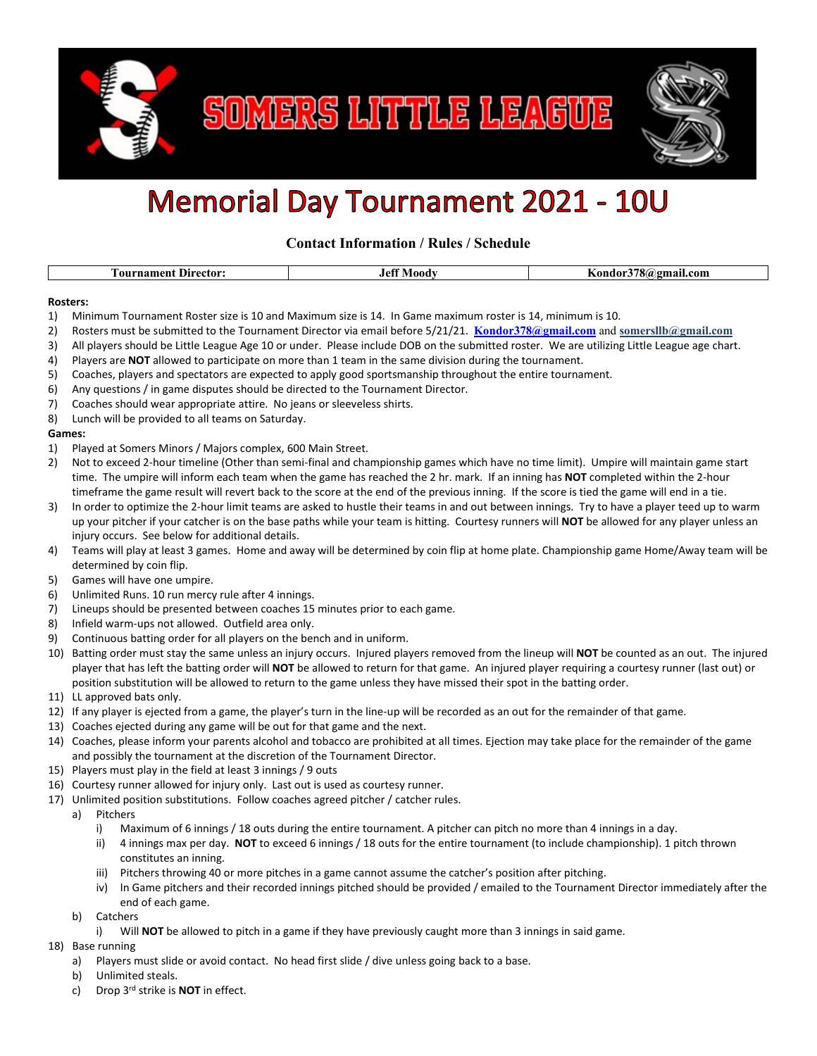

SOMERS LITTLE LEAGUE



## **Memorial Day Tournament 2021 - 10U**

**Contact Information / Rules / Schedule**

| rnamen'<br>- 0117<br>Dıre<br>. ector: | .000<br>1 A T | com<br>-шан. |
|---------------------------------------|---------------|--------------|
|                                       |               |              |

## **Rosters:**

- 1) Minimum Tournament Roster size is 10 and Maximum size is 14. In Game maximum roster is 14, minimum is 10.
- 2) Rosters must be submitted to the Tournament Director via email before 5/21/21. **[Kondor378@gmail.com](mailto:Kondor378@gmail.com)** and **somersllb@gmail.com**
- 3) All players should be Little League Age 10 or under. Please include DOB on the submitted roster. We are utilizing Little League age chart.
- 4) Players are **NOT** allowed to participate on more than 1 team in the same division during the tournament.
- 5) Coaches, players and spectators are expected to apply good sportsmanship throughout the entire tournament.
- 6) Any questions / in game disputes should be directed to the Tournament Director.
- 7) Coaches should wear appropriate attire. No jeans or sleeveless shirts.
- 8) Lunch will be provided to all teams on Saturday.

## **Games:**

- 1) Played at Somers Minors / Majors complex, 600 Main Street.
- 2) Not to exceed 2-hour timeline (Other than semi-final and championship games which have no time limit). Umpire will maintain game start time. The umpire will inform each team when the game has reached the 2 hr. mark. If an inning has **NOT** completed within the 2-hour timeframe the game result will revert back to the score at the end of the previous inning. If the score is tied the game will end in a tie.
- 3) In order to optimize the 2-hour limit teams are asked to hustle their teams in and out between innings. Try to have a player teed up to warm up your pitcher if your catcher is on the base paths while your team is hitting. Courtesy runners will **NOT** be allowed for any player unless an injury occurs. See below for additional details.
- 4) Teams will play at least 3 games. Home and away will be determined by coin flip at home plate. Championship game Home/Away team will be determined by coin flip.
- 5) Games will have one umpire.
- 6) Unlimited Runs. 10 run mercy rule after 4 innings.
- 7) Lineups should be presented between coaches 15 minutes prior to each game.
- 8) Infield warm-ups not allowed. Outfield area only.
- 9) Continuous batting order for all players on the bench and in uniform.
- 10) Batting order must stay the same unless an injury occurs. Injured players removed from the lineup will **NOT** be counted as an out. The injured player that has left the batting order will **NOT** be allowed to return for that game. An injured player requiring a courtesy runner (last out) or position substitution will be allowed to return to the game unless they have missed their spot in the batting order.
- 11) LL approved bats only.
- 12) If any player is ejected from a game, the player's turn in the line-up will be recorded as an out for the remainder of that game.
- 13) Coaches ejected during any game will be out for that game and the next.
- 14) Coaches, please inform your parents alcohol and tobacco are prohibited at all times. Ejection may take place for the remainder of the game and possibly the tournament at the discretion of the Tournament Director.
- 15) Players must play in the field at least 3 innings / 9 outs
- 16) Courtesy runner allowed for injury only. Last out is used as courtesy runner.
- 17) Unlimited position substitutions. Follow coaches agreed pitcher / catcher rules.
	- a) Pitchers
		- i) Maximum of 6 innings / 18 outs during the entire tournament. A pitcher can pitch no more than 4 innings in a day.
		- ii) 4 innings max per day. **NOT** to exceed 6 innings / 18 outs for the entire tournament (to include championship). 1 pitch thrown constitutes an inning.
		- iii) Pitchers throwing 40 or more pitches in a game cannot assume the catcher's position after pitching.
		- iv) In Game pitchers and their recorded innings pitched should be provided / emailed to the Tournament Director immediately after the end of each game.
	- b) Catchers
		- i) Will **NOT** be allowed to pitch in a game if they have previously caught more than 3 innings in said game.
- 18) Base running
	- a) Players must slide or avoid contact. No head first slide / dive unless going back to a base.
	- b) Unlimited steals.
	- c) Drop 3rd strike is **NOT** in effect.